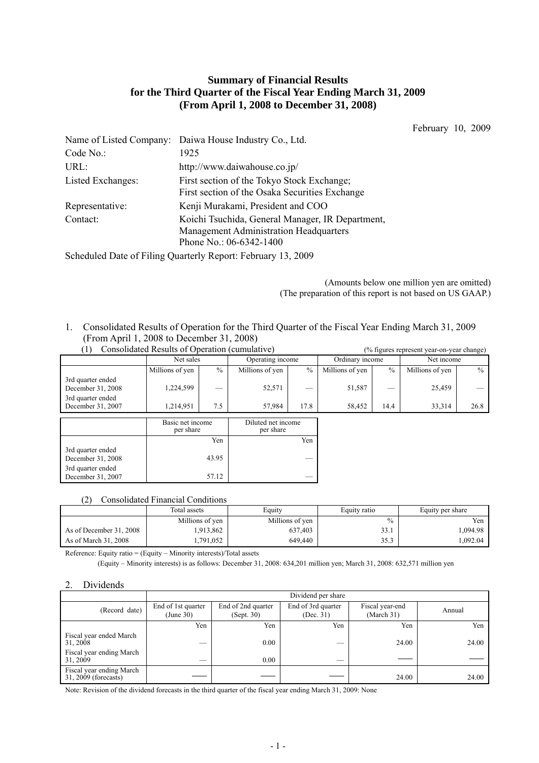# **Summary of Financial Results for the Third Quarter of the Fiscal Year Ending March 31, 2009 (From April 1, 2008 to December 31, 2008)**

February 10, 2009

|                   | Name of Listed Company: Daiwa House Industry Co., Ltd.                                                                |
|-------------------|-----------------------------------------------------------------------------------------------------------------------|
| Code No.:         | 1925                                                                                                                  |
| URL:              | http://www.daiwahouse.co.jp/                                                                                          |
| Listed Exchanges: | First section of the Tokyo Stock Exchange;<br>First section of the Osaka Securities Exchange                          |
| Representative:   | Kenji Murakami, President and COO                                                                                     |
| Contact:          | Koichi Tsuchida, General Manager, IR Department,<br>Management Administration Headquarters<br>Phone No.: 06-6342-1400 |

Scheduled Date of Filing Quarterly Report: February 13, 2009

 (Amounts below one million yen are omitted) (The preparation of this report is not based on US GAAP.)

1. Consolidated Results of Operation for the Third Quarter of the Fiscal Year Ending March 31, 2009 (From April 1, 2008 to December 31, 2008)

| Consolidated Results of Operation (cumulative) |                 |                                        |                 |      |                 | (% figures represent year-on-year change) |                 |      |            |  |
|------------------------------------------------|-----------------|----------------------------------------|-----------------|------|-----------------|-------------------------------------------|-----------------|------|------------|--|
|                                                |                 | Operating income                       |                 |      | Net sales       |                                           | Ordinary income |      | Net income |  |
|                                                | Millions of yen | $\%$                                   | Millions of yen | $\%$ | Millions of yen | $\%$                                      | Millions of yen | $\%$ |            |  |
| 3rd quarter ended<br>December 31, 2008         | 1,224,599       |                                        | 52,571          |      | 51,587          |                                           | 25,459          |      |            |  |
| 3rd quarter ended<br>December 31, 2007         | 1.214.951       | 7.5                                    | 57.984          | 17.8 | 58.452          | 14.4                                      | 33.314          | 26.8 |            |  |
|                                                |                 | Dibited not income<br>Dogio not income |                 |      |                 |                                           |                 |      |            |  |

|                                        | Basic net income<br>per share | Diluted net income<br>per share |
|----------------------------------------|-------------------------------|---------------------------------|
|                                        | Yen                           | Yen                             |
| 3rd quarter ended<br>December 31, 2008 | 43.95                         |                                 |
| 3rd quarter ended<br>December 31, 2007 | 57.12                         |                                 |

## (2) Consolidated Financial Conditions

|                         | Total assets    | Equity<br>Equity ratio |               | Equity per share |
|-------------------------|-----------------|------------------------|---------------|------------------|
|                         | Millions of yen | Millions of yen        | $\frac{0}{0}$ | Yen              |
| As of December 31, 2008 | .913,862        | 637,403                | 33.1          | .094.98          |
| As of March 31, 2008    | .791,052        | 649,440                | 35.3          | .092.04          |

Reference: Equity ratio = (Equity – Minority interests)/Total assets

(Equity – Minority interests) is as follows: December 31, 2008: 634,201 million yen; March 31, 2008: 632,571 million yen

# 2. Dividends

|                                                  |                                 | Dividend per share               |                                 |                               |        |  |  |  |  |
|--------------------------------------------------|---------------------------------|----------------------------------|---------------------------------|-------------------------------|--------|--|--|--|--|
| (Record date)                                    | End of 1st quarter<br>(June 30) | End of 2nd quarter<br>(Sept. 30) | End of 3rd quarter<br>(Dec. 31) | Fiscal year-end<br>(March 31) | Annual |  |  |  |  |
|                                                  | Yen                             | Yen                              | Yen                             | Yen                           | Yen    |  |  |  |  |
| Fiscal year ended March<br>31, 2008              | --                              | 0.00                             |                                 | 24.00                         | 24.00  |  |  |  |  |
| Fiscal year ending March<br>31, 2009             | $-$                             | 0.00                             | __                              |                               |        |  |  |  |  |
| Fiscal year ending March<br>31, 2009 (forecasts) |                                 |                                  |                                 | 24.00                         | 24.00  |  |  |  |  |

Note: Revision of the dividend forecasts in the third quarter of the fiscal year ending March 31, 2009: None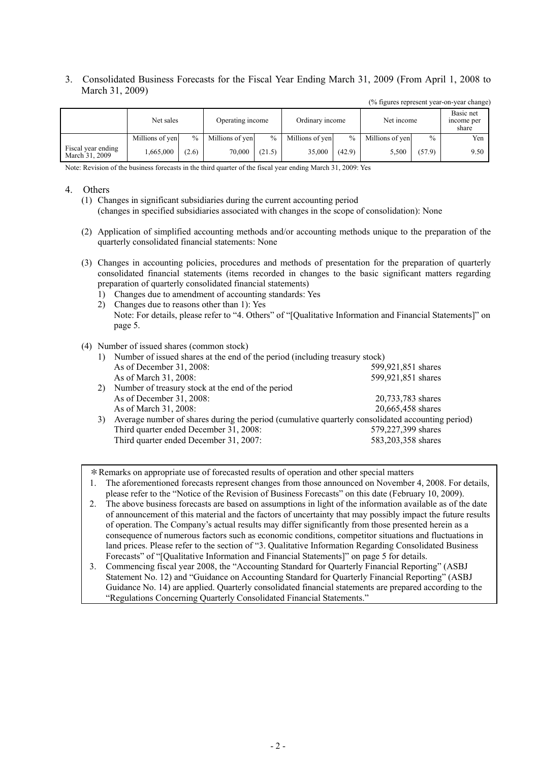3. Consolidated Business Forecasts for the Fiscal Year Ending March 31, 2009 (From April 1, 2008 to March 31, 2009)

(% figures represent year-on-year change)

|                                      | Net sales       |               | Operating income |               | Ordinary income |        | Net income      | Basic net<br>income per<br>share |      |  |
|--------------------------------------|-----------------|---------------|------------------|---------------|-----------------|--------|-----------------|----------------------------------|------|--|
|                                      | Millions of yen | $\frac{0}{0}$ | Millions of yen  | $\frac{0}{0}$ | Millions of yen | $\%$   | Millions of yen | $\frac{0}{0}$                    | Yen  |  |
| Fiscal year ending<br>March 31, 2009 | 1.665.000       | (2.6)         | 70,000           | (21.5)        | 35,000          | (42.9) | 5,500           | (57.9)                           | 9.50 |  |

Note: Revision of the business forecasts in the third quarter of the fiscal year ending March 31, 2009: Yes

#### 4. Others

- (1) Changes in significant subsidiaries during the current accounting period (changes in specified subsidiaries associated with changes in the scope of consolidation): None
- (2) Application of simplified accounting methods and/or accounting methods unique to the preparation of the quarterly consolidated financial statements: None
- (3) Changes in accounting policies, procedures and methods of presentation for the preparation of quarterly consolidated financial statements (items recorded in changes to the basic significant matters regarding preparation of quarterly consolidated financial statements)
	- 1) Changes due to amendment of accounting standards: Yes
	- 2) Changes due to reasons other than 1): Yes Note: For details, please refer to "4. Others" of "[Qualitative Information and Financial Statements]" on page 5.

#### (4) Number of issued shares (common stock)

| Number of issued shares at the end of the period (including treasury stock)                      |                    |
|--------------------------------------------------------------------------------------------------|--------------------|
| As of December 31, 2008:                                                                         | 599,921,851 shares |
| As of March 31, 2008:                                                                            | 599,921,851 shares |
| Number of treasury stock at the end of the period                                                |                    |
| As of December 31, 2008:                                                                         | 20,733,783 shares  |
| As of March 31, 2008:                                                                            | 20,665,458 shares  |
| Average number of shares during the period (cumulative quarterly consolidated accounting period) |                    |
| Third quarter ended December 31, 2008:                                                           | 579,227,399 shares |
| Third quarter ended December 31, 2007:                                                           | 583,203,358 shares |
|                                                                                                  |                    |

\*Remarks on appropriate use of forecasted results of operation and other special matters

- 2. The above business forecasts are based on assumptions in light of the information available as of the date of announcement of this material and the factors of uncertainty that may possibly impact the future results of operation. The Company's actual results may differ significantly from those presented herein as a consequence of numerous factors such as economic conditions, competitor situations and fluctuations in land prices. Please refer to the section of "3. Qualitative Information Regarding Consolidated Business Forecasts" of "[Qualitative Information and Financial Statements]" on page 5 for details.
- 3. Commencing fiscal year 2008, the "Accounting Standard for Quarterly Financial Reporting" (ASBJ Statement No. 12) and "Guidance on Accounting Standard for Quarterly Financial Reporting" (ASBJ Guidance No. 14) are applied. Quarterly consolidated financial statements are prepared according to the "Regulations Concerning Quarterly Consolidated Financial Statements."

<sup>1.</sup> The aforementioned forecasts represent changes from those announced on November 4, 2008. For details, please refer to the "Notice of the Revision of Business Forecasts" on this date (February 10, 2009).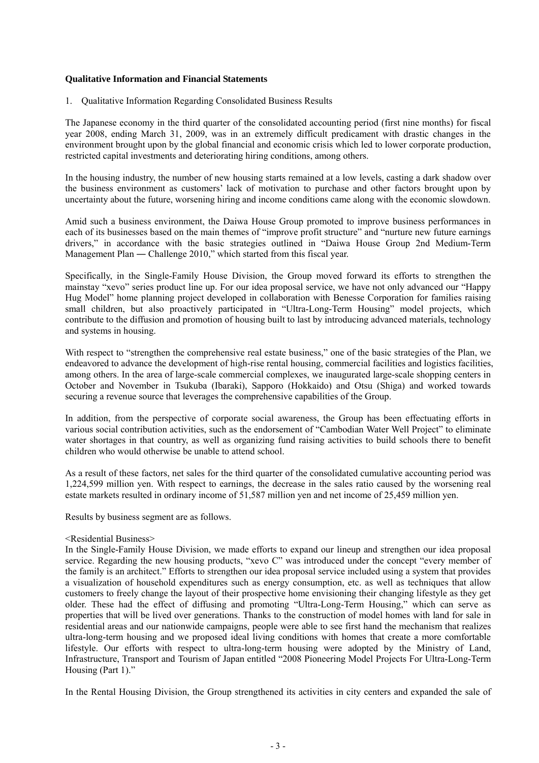## **Qualitative Information and Financial Statements**

1. Qualitative Information Regarding Consolidated Business Results

The Japanese economy in the third quarter of the consolidated accounting period (first nine months) for fiscal year 2008, ending March 31, 2009, was in an extremely difficult predicament with drastic changes in the environment brought upon by the global financial and economic crisis which led to lower corporate production, restricted capital investments and deteriorating hiring conditions, among others.

In the housing industry, the number of new housing starts remained at a low levels, casting a dark shadow over the business environment as customers' lack of motivation to purchase and other factors brought upon by uncertainty about the future, worsening hiring and income conditions came along with the economic slowdown.

Amid such a business environment, the Daiwa House Group promoted to improve business performances in each of its businesses based on the main themes of "improve profit structure" and "nurture new future earnings drivers," in accordance with the basic strategies outlined in "Daiwa House Group 2nd Medium-Term Management Plan — Challenge 2010," which started from this fiscal year.

Specifically, in the Single-Family House Division, the Group moved forward its efforts to strengthen the mainstay "xevo" series product line up. For our idea proposal service, we have not only advanced our "Happy Hug Model" home planning project developed in collaboration with Benesse Corporation for families raising small children, but also proactively participated in "Ultra-Long-Term Housing" model projects, which contribute to the diffusion and promotion of housing built to last by introducing advanced materials, technology and systems in housing.

With respect to "strengthen the comprehensive real estate business," one of the basic strategies of the Plan, we endeavored to advance the development of high-rise rental housing, commercial facilities and logistics facilities, among others. In the area of large-scale commercial complexes, we inaugurated large-scale shopping centers in October and November in Tsukuba (Ibaraki), Sapporo (Hokkaido) and Otsu (Shiga) and worked towards securing a revenue source that leverages the comprehensive capabilities of the Group.

In addition, from the perspective of corporate social awareness, the Group has been effectuating efforts in various social contribution activities, such as the endorsement of "Cambodian Water Well Project" to eliminate water shortages in that country, as well as organizing fund raising activities to build schools there to benefit children who would otherwise be unable to attend school.

As a result of these factors, net sales for the third quarter of the consolidated cumulative accounting period was 1,224,599 million yen. With respect to earnings, the decrease in the sales ratio caused by the worsening real estate markets resulted in ordinary income of 51,587 million yen and net income of 25,459 million yen.

Results by business segment are as follows.

## <Residential Business>

In the Single-Family House Division, we made efforts to expand our lineup and strengthen our idea proposal service. Regarding the new housing products, "xevo C" was introduced under the concept "every member of the family is an architect." Efforts to strengthen our idea proposal service included using a system that provides a visualization of household expenditures such as energy consumption, etc. as well as techniques that allow customers to freely change the layout of their prospective home envisioning their changing lifestyle as they get older. These had the effect of diffusing and promoting "Ultra-Long-Term Housing," which can serve as properties that will be lived over generations. Thanks to the construction of model homes with land for sale in residential areas and our nationwide campaigns, people were able to see first hand the mechanism that realizes ultra-long-term housing and we proposed ideal living conditions with homes that create a more comfortable lifestyle. Our efforts with respect to ultra-long-term housing were adopted by the Ministry of Land, Infrastructure, Transport and Tourism of Japan entitled "2008 Pioneering Model Projects For Ultra-Long-Term Housing (Part 1)."

In the Rental Housing Division, the Group strengthened its activities in city centers and expanded the sale of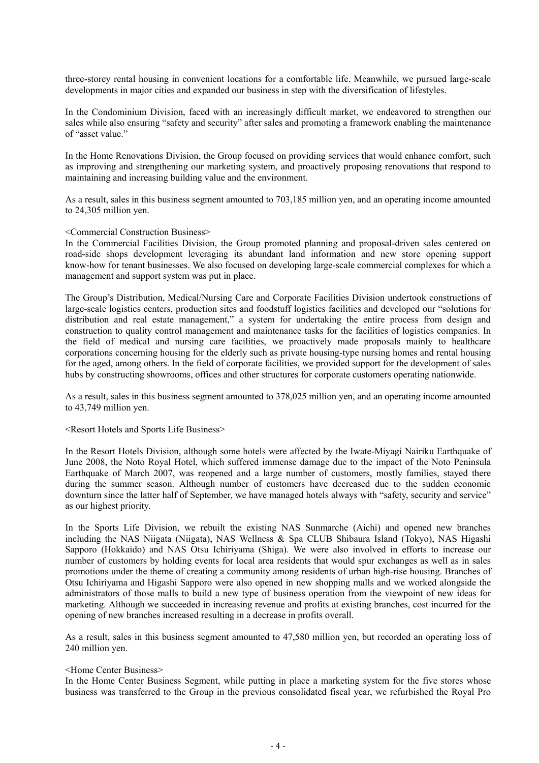three-storey rental housing in convenient locations for a comfortable life. Meanwhile, we pursued large-scale developments in major cities and expanded our business in step with the diversification of lifestyles.

In the Condominium Division, faced with an increasingly difficult market, we endeavored to strengthen our sales while also ensuring "safety and security" after sales and promoting a framework enabling the maintenance of "asset value."

In the Home Renovations Division, the Group focused on providing services that would enhance comfort, such as improving and strengthening our marketing system, and proactively proposing renovations that respond to maintaining and increasing building value and the environment.

As a result, sales in this business segment amounted to 703,185 million yen, and an operating income amounted to 24,305 million yen.

#### <Commercial Construction Business>

In the Commercial Facilities Division, the Group promoted planning and proposal-driven sales centered on road-side shops development leveraging its abundant land information and new store opening support know-how for tenant businesses. We also focused on developing large-scale commercial complexes for which a management and support system was put in place.

The Group's Distribution, Medical/Nursing Care and Corporate Facilities Division undertook constructions of large-scale logistics centers, production sites and foodstuff logistics facilities and developed our "solutions for distribution and real estate management," a system for undertaking the entire process from design and construction to quality control management and maintenance tasks for the facilities of logistics companies. In the field of medical and nursing care facilities, we proactively made proposals mainly to healthcare corporations concerning housing for the elderly such as private housing-type nursing homes and rental housing for the aged, among others. In the field of corporate facilities, we provided support for the development of sales hubs by constructing showrooms, offices and other structures for corporate customers operating nationwide.

As a result, sales in this business segment amounted to 378,025 million yen, and an operating income amounted to 43,749 million yen.

#### <Resort Hotels and Sports Life Business>

In the Resort Hotels Division, although some hotels were affected by the Iwate-Miyagi Nairiku Earthquake of June 2008, the Noto Royal Hotel, which suffered immense damage due to the impact of the Noto Peninsula Earthquake of March 2007, was reopened and a large number of customers, mostly families, stayed there during the summer season. Although number of customers have decreased due to the sudden economic downturn since the latter half of September, we have managed hotels always with "safety, security and service" as our highest priority.

In the Sports Life Division, we rebuilt the existing NAS Sunmarche (Aichi) and opened new branches including the NAS Niigata (Niigata), NAS Wellness & Spa CLUB Shibaura Island (Tokyo), NAS Higashi Sapporo (Hokkaido) and NAS Otsu Ichiriyama (Shiga). We were also involved in efforts to increase our number of customers by holding events for local area residents that would spur exchanges as well as in sales promotions under the theme of creating a community among residents of urban high-rise housing. Branches of Otsu Ichiriyama and Higashi Sapporo were also opened in new shopping malls and we worked alongside the administrators of those malls to build a new type of business operation from the viewpoint of new ideas for marketing. Although we succeeded in increasing revenue and profits at existing branches, cost incurred for the opening of new branches increased resulting in a decrease in profits overall.

As a result, sales in this business segment amounted to 47,580 million yen, but recorded an operating loss of 240 million yen.

#### <Home Center Business>

In the Home Center Business Segment, while putting in place a marketing system for the five stores whose business was transferred to the Group in the previous consolidated fiscal year, we refurbished the Royal Pro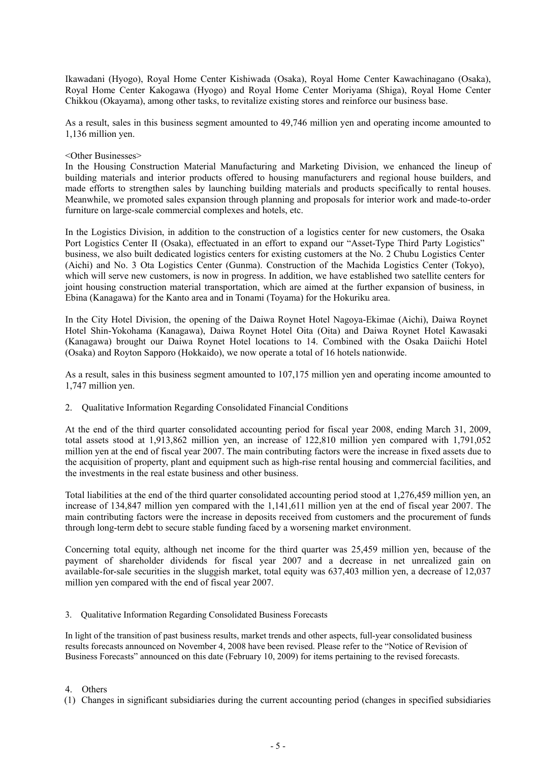Ikawadani (Hyogo), Royal Home Center Kishiwada (Osaka), Royal Home Center Kawachinagano (Osaka), Royal Home Center Kakogawa (Hyogo) and Royal Home Center Moriyama (Shiga), Royal Home Center Chikkou (Okayama), among other tasks, to revitalize existing stores and reinforce our business base.

As a result, sales in this business segment amounted to 49,746 million yen and operating income amounted to 1,136 million yen.

## <Other Businesses>

In the Housing Construction Material Manufacturing and Marketing Division, we enhanced the lineup of building materials and interior products offered to housing manufacturers and regional house builders, and made efforts to strengthen sales by launching building materials and products specifically to rental houses. Meanwhile, we promoted sales expansion through planning and proposals for interior work and made-to-order furniture on large-scale commercial complexes and hotels, etc.

In the Logistics Division, in addition to the construction of a logistics center for new customers, the Osaka Port Logistics Center II (Osaka), effectuated in an effort to expand our "Asset-Type Third Party Logistics" business, we also built dedicated logistics centers for existing customers at the No. 2 Chubu Logistics Center (Aichi) and No. 3 Ota Logistics Center (Gunma). Construction of the Machida Logistics Center (Tokyo), which will serve new customers, is now in progress. In addition, we have established two satellite centers for joint housing construction material transportation, which are aimed at the further expansion of business, in Ebina (Kanagawa) for the Kanto area and in Tonami (Toyama) for the Hokuriku area.

In the City Hotel Division, the opening of the Daiwa Roynet Hotel Nagoya-Ekimae (Aichi), Daiwa Roynet Hotel Shin-Yokohama (Kanagawa), Daiwa Roynet Hotel Oita (Oita) and Daiwa Roynet Hotel Kawasaki (Kanagawa) brought our Daiwa Roynet Hotel locations to 14. Combined with the Osaka Daiichi Hotel (Osaka) and Royton Sapporo (Hokkaido), we now operate a total of 16 hotels nationwide.

As a result, sales in this business segment amounted to 107,175 million yen and operating income amounted to 1,747 million yen.

2. Qualitative Information Regarding Consolidated Financial Conditions

At the end of the third quarter consolidated accounting period for fiscal year 2008, ending March 31, 2009, total assets stood at 1,913,862 million yen, an increase of 122,810 million yen compared with 1,791,052 million yen at the end of fiscal year 2007. The main contributing factors were the increase in fixed assets due to the acquisition of property, plant and equipment such as high-rise rental housing and commercial facilities, and the investments in the real estate business and other business.

Total liabilities at the end of the third quarter consolidated accounting period stood at 1,276,459 million yen, an increase of 134,847 million yen compared with the 1,141,611 million yen at the end of fiscal year 2007. The main contributing factors were the increase in deposits received from customers and the procurement of funds through long-term debt to secure stable funding faced by a worsening market environment.

Concerning total equity, although net income for the third quarter was 25,459 million yen, because of the payment of shareholder dividends for fiscal year 2007 and a decrease in net unrealized gain on available-for-sale securities in the sluggish market, total equity was 637,403 million yen, a decrease of 12,037 million yen compared with the end of fiscal year 2007.

3. Qualitative Information Regarding Consolidated Business Forecasts

In light of the transition of past business results, market trends and other aspects, full-year consolidated business results forecasts announced on November 4, 2008 have been revised. Please refer to the "Notice of Revision of Business Forecasts" announced on this date (February 10, 2009) for items pertaining to the revised forecasts.

#### 4. Others

(1) Changes in significant subsidiaries during the current accounting period (changes in specified subsidiaries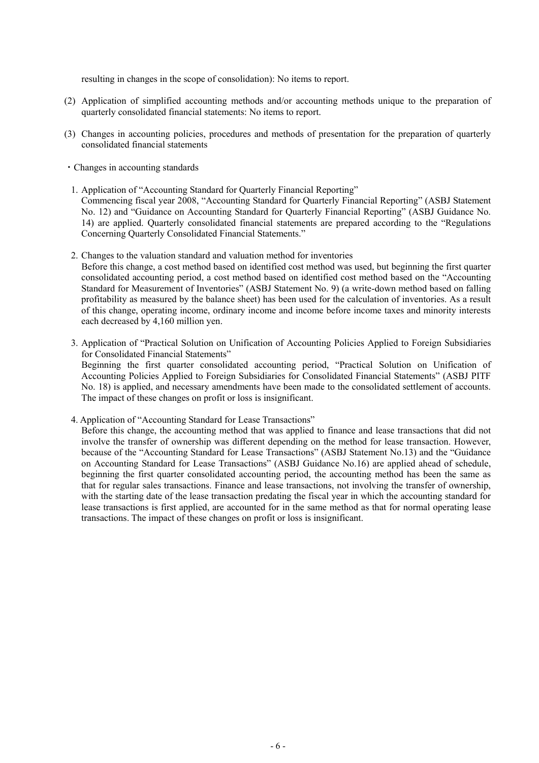resulting in changes in the scope of consolidation): No items to report.

- (2) Application of simplified accounting methods and/or accounting methods unique to the preparation of quarterly consolidated financial statements: No items to report.
- (3) Changes in accounting policies, procedures and methods of presentation for the preparation of quarterly consolidated financial statements
- ・Changes in accounting standards
- 1. Application of "Accounting Standard for Quarterly Financial Reporting" Commencing fiscal year 2008, "Accounting Standard for Quarterly Financial Reporting" (ASBJ Statement No. 12) and "Guidance on Accounting Standard for Quarterly Financial Reporting" (ASBJ Guidance No. 14) are applied. Quarterly consolidated financial statements are prepared according to the "Regulations Concerning Quarterly Consolidated Financial Statements."
- 2. Changes to the valuation standard and valuation method for inventories Before this change, a cost method based on identified cost method was used, but beginning the first quarter consolidated accounting period, a cost method based on identified cost method based on the "Accounting Standard for Measurement of Inventories" (ASBJ Statement No. 9) (a write-down method based on falling profitability as measured by the balance sheet) has been used for the calculation of inventories. As a result of this change, operating income, ordinary income and income before income taxes and minority interests each decreased by 4,160 million yen.
- 3. Application of "Practical Solution on Unification of Accounting Policies Applied to Foreign Subsidiaries for Consolidated Financial Statements"

Beginning the first quarter consolidated accounting period, "Practical Solution on Unification of Accounting Policies Applied to Foreign Subsidiaries for Consolidated Financial Statements" (ASBJ PITF No. 18) is applied, and necessary amendments have been made to the consolidated settlement of accounts. The impact of these changes on profit or loss is insignificant.

4. Application of "Accounting Standard for Lease Transactions"

Before this change, the accounting method that was applied to finance and lease transactions that did not involve the transfer of ownership was different depending on the method for lease transaction. However, because of the "Accounting Standard for Lease Transactions" (ASBJ Statement No.13) and the "Guidance on Accounting Standard for Lease Transactions" (ASBJ Guidance No.16) are applied ahead of schedule, beginning the first quarter consolidated accounting period, the accounting method has been the same as that for regular sales transactions. Finance and lease transactions, not involving the transfer of ownership, with the starting date of the lease transaction predating the fiscal year in which the accounting standard for lease transactions is first applied, are accounted for in the same method as that for normal operating lease transactions. The impact of these changes on profit or loss is insignificant.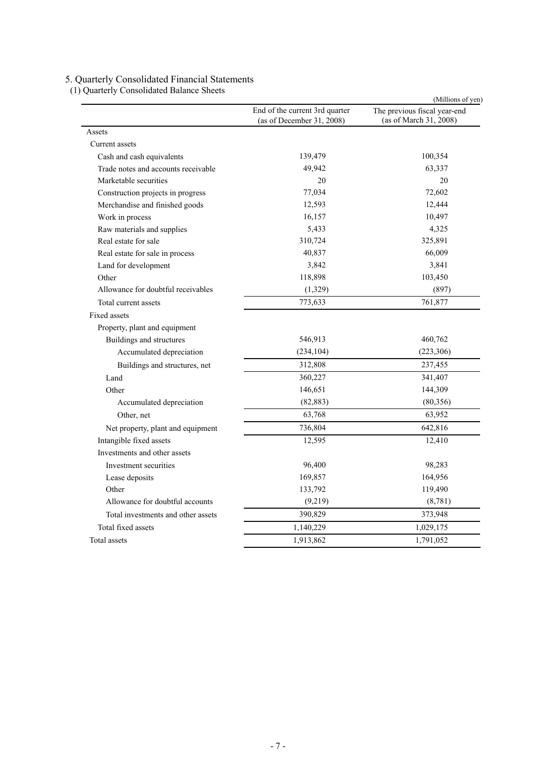## 5. Quarterly Consolidated Financial Statements

| (1) Quarterly Consolidated Balance Sheets<br>Cash and cash equivalents<br>Trade notes and accounts receivable<br>Marketable securities<br>Construction projects in progress<br>Merchandise and finished goods<br>Work in process<br>Raw materials and supplies<br>Real estate for sale<br>Real estate for sale in process<br>Land for development<br>Other<br>Allowance for doubtful receivables<br>Total current assets<br>Property, plant and equipment<br>Buildings and structures<br>Accumulated depreciation<br>Buildings and structures, net<br>Land<br>Other<br>Accumulated depreciation<br>Other, net<br>Net property, plant and equipment<br>Intangible fixed assets<br>Investments and other assets<br>Investment securities<br>Lease deposits<br>Other<br>Allowance for doubtful accounts<br>Total investments and other assets<br>Total fixed assets | End of the current 3rd quarter<br>(as of December 31, 2008) | (Millions of yen)<br>The previous fiscal year-end<br>(as of March 31, 2008) |
|------------------------------------------------------------------------------------------------------------------------------------------------------------------------------------------------------------------------------------------------------------------------------------------------------------------------------------------------------------------------------------------------------------------------------------------------------------------------------------------------------------------------------------------------------------------------------------------------------------------------------------------------------------------------------------------------------------------------------------------------------------------------------------------------------------------------------------------------------------------|-------------------------------------------------------------|-----------------------------------------------------------------------------|
| Assets                                                                                                                                                                                                                                                                                                                                                                                                                                                                                                                                                                                                                                                                                                                                                                                                                                                           |                                                             |                                                                             |
| Current assets                                                                                                                                                                                                                                                                                                                                                                                                                                                                                                                                                                                                                                                                                                                                                                                                                                                   |                                                             |                                                                             |
|                                                                                                                                                                                                                                                                                                                                                                                                                                                                                                                                                                                                                                                                                                                                                                                                                                                                  | 139,479                                                     | 100,354                                                                     |
|                                                                                                                                                                                                                                                                                                                                                                                                                                                                                                                                                                                                                                                                                                                                                                                                                                                                  | 49,942                                                      | 63,337                                                                      |
|                                                                                                                                                                                                                                                                                                                                                                                                                                                                                                                                                                                                                                                                                                                                                                                                                                                                  | 20                                                          | 20                                                                          |
|                                                                                                                                                                                                                                                                                                                                                                                                                                                                                                                                                                                                                                                                                                                                                                                                                                                                  | 77,034                                                      | 72,602                                                                      |
|                                                                                                                                                                                                                                                                                                                                                                                                                                                                                                                                                                                                                                                                                                                                                                                                                                                                  | 12,593                                                      | 12,444                                                                      |
|                                                                                                                                                                                                                                                                                                                                                                                                                                                                                                                                                                                                                                                                                                                                                                                                                                                                  | 16,157                                                      | 10,497                                                                      |
|                                                                                                                                                                                                                                                                                                                                                                                                                                                                                                                                                                                                                                                                                                                                                                                                                                                                  | 5,433                                                       | 4,325                                                                       |
|                                                                                                                                                                                                                                                                                                                                                                                                                                                                                                                                                                                                                                                                                                                                                                                                                                                                  | 310,724                                                     | 325,891                                                                     |
|                                                                                                                                                                                                                                                                                                                                                                                                                                                                                                                                                                                                                                                                                                                                                                                                                                                                  | 40,837                                                      | 66,009                                                                      |
|                                                                                                                                                                                                                                                                                                                                                                                                                                                                                                                                                                                                                                                                                                                                                                                                                                                                  | 3,842                                                       | 3,841                                                                       |
|                                                                                                                                                                                                                                                                                                                                                                                                                                                                                                                                                                                                                                                                                                                                                                                                                                                                  | 118,898                                                     | 103,450                                                                     |
|                                                                                                                                                                                                                                                                                                                                                                                                                                                                                                                                                                                                                                                                                                                                                                                                                                                                  | (1, 329)                                                    | (897)                                                                       |
|                                                                                                                                                                                                                                                                                                                                                                                                                                                                                                                                                                                                                                                                                                                                                                                                                                                                  | 773,633                                                     | 761,877                                                                     |
| Fixed assets                                                                                                                                                                                                                                                                                                                                                                                                                                                                                                                                                                                                                                                                                                                                                                                                                                                     |                                                             |                                                                             |
|                                                                                                                                                                                                                                                                                                                                                                                                                                                                                                                                                                                                                                                                                                                                                                                                                                                                  |                                                             |                                                                             |
|                                                                                                                                                                                                                                                                                                                                                                                                                                                                                                                                                                                                                                                                                                                                                                                                                                                                  | 546,913                                                     | 460,762                                                                     |
|                                                                                                                                                                                                                                                                                                                                                                                                                                                                                                                                                                                                                                                                                                                                                                                                                                                                  | (234, 104)                                                  | (223, 306)                                                                  |
|                                                                                                                                                                                                                                                                                                                                                                                                                                                                                                                                                                                                                                                                                                                                                                                                                                                                  | 312,808                                                     | 237,455                                                                     |
|                                                                                                                                                                                                                                                                                                                                                                                                                                                                                                                                                                                                                                                                                                                                                                                                                                                                  | 360,227                                                     | 341,407                                                                     |
|                                                                                                                                                                                                                                                                                                                                                                                                                                                                                                                                                                                                                                                                                                                                                                                                                                                                  | 146,651                                                     | 144,309                                                                     |
|                                                                                                                                                                                                                                                                                                                                                                                                                                                                                                                                                                                                                                                                                                                                                                                                                                                                  | (82, 883)                                                   | (80,356)                                                                    |
|                                                                                                                                                                                                                                                                                                                                                                                                                                                                                                                                                                                                                                                                                                                                                                                                                                                                  | 63,768                                                      | 63,952                                                                      |
|                                                                                                                                                                                                                                                                                                                                                                                                                                                                                                                                                                                                                                                                                                                                                                                                                                                                  | 736,804                                                     | 642,816                                                                     |
|                                                                                                                                                                                                                                                                                                                                                                                                                                                                                                                                                                                                                                                                                                                                                                                                                                                                  | 12,595                                                      | 12,410                                                                      |
|                                                                                                                                                                                                                                                                                                                                                                                                                                                                                                                                                                                                                                                                                                                                                                                                                                                                  |                                                             |                                                                             |
|                                                                                                                                                                                                                                                                                                                                                                                                                                                                                                                                                                                                                                                                                                                                                                                                                                                                  | 96,400                                                      | 98,283                                                                      |
|                                                                                                                                                                                                                                                                                                                                                                                                                                                                                                                                                                                                                                                                                                                                                                                                                                                                  | 169,857                                                     | 164,956                                                                     |
|                                                                                                                                                                                                                                                                                                                                                                                                                                                                                                                                                                                                                                                                                                                                                                                                                                                                  | 133,792                                                     | 119,490                                                                     |
|                                                                                                                                                                                                                                                                                                                                                                                                                                                                                                                                                                                                                                                                                                                                                                                                                                                                  | (9,219)                                                     | (8, 781)                                                                    |
|                                                                                                                                                                                                                                                                                                                                                                                                                                                                                                                                                                                                                                                                                                                                                                                                                                                                  | 390,829                                                     | 373,948                                                                     |
|                                                                                                                                                                                                                                                                                                                                                                                                                                                                                                                                                                                                                                                                                                                                                                                                                                                                  | 1,140,229                                                   | 1,029,175                                                                   |
| Total assets                                                                                                                                                                                                                                                                                                                                                                                                                                                                                                                                                                                                                                                                                                                                                                                                                                                     | 1,913,862                                                   | 1,791,052                                                                   |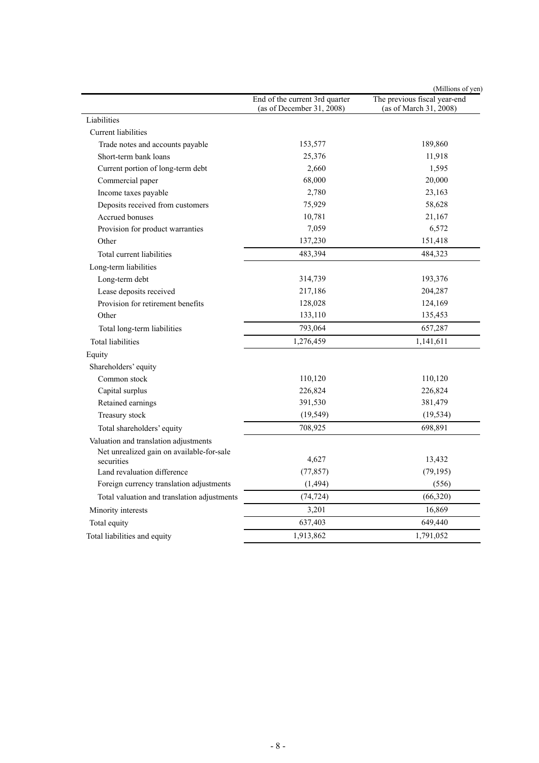|                                             |                                                             | (Millions of yen)                                      |
|---------------------------------------------|-------------------------------------------------------------|--------------------------------------------------------|
|                                             | End of the current 3rd quarter<br>(as of December 31, 2008) | The previous fiscal year-end<br>(as of March 31, 2008) |
| Liabilities                                 |                                                             |                                                        |
| <b>Current liabilities</b>                  |                                                             |                                                        |
| Trade notes and accounts payable            | 153,577                                                     | 189,860                                                |
| Short-term bank loans                       | 25,376                                                      | 11,918                                                 |
| Current portion of long-term debt           | 2,660                                                       | 1,595                                                  |
| Commercial paper                            | 68,000                                                      | 20,000                                                 |
| Income taxes payable                        | 2,780                                                       | 23,163                                                 |
| Deposits received from customers            | 75,929                                                      | 58,628                                                 |
| Accrued bonuses                             | 10,781                                                      | 21,167                                                 |
| Provision for product warranties            | 7,059                                                       | 6,572                                                  |
| Other                                       | 137,230                                                     | 151,418                                                |
| Total current liabilities                   | 483,394                                                     | 484,323                                                |
| Long-term liabilities                       |                                                             |                                                        |
| Long-term debt                              | 314,739                                                     | 193,376                                                |
| Lease deposits received                     | 217,186                                                     | 204,287                                                |
| Provision for retirement benefits           | 128,028                                                     | 124,169                                                |
| Other                                       | 133,110                                                     | 135,453                                                |
| Total long-term liabilities                 | 793,064                                                     | 657,287                                                |
| <b>Total liabilities</b>                    | 1,276,459                                                   | 1,141,611                                              |
| Equity                                      |                                                             |                                                        |
| Shareholders' equity                        |                                                             |                                                        |
| Common stock                                | 110,120                                                     | 110,120                                                |
| Capital surplus                             | 226,824                                                     | 226,824                                                |
| Retained earnings                           | 391,530                                                     | 381,479                                                |
| Treasury stock                              | (19, 549)                                                   | (19, 534)                                              |
| Total shareholders' equity                  | 708,925                                                     | 698,891                                                |
| Valuation and translation adjustments       |                                                             |                                                        |
| Net unrealized gain on available-for-sale   |                                                             |                                                        |
| securities                                  | 4,627                                                       | 13,432                                                 |
| Land revaluation difference                 | (77, 857)                                                   | (79, 195)                                              |
| Foreign currency translation adjustments    | (1, 494)                                                    | (556)                                                  |
| Total valuation and translation adjustments | (74, 724)                                                   | (66, 320)                                              |
| Minority interests                          | 3,201                                                       | 16,869                                                 |
| Total equity                                | 637,403                                                     | 649,440                                                |
| Total liabilities and equity                | 1,913,862                                                   | 1,791,052                                              |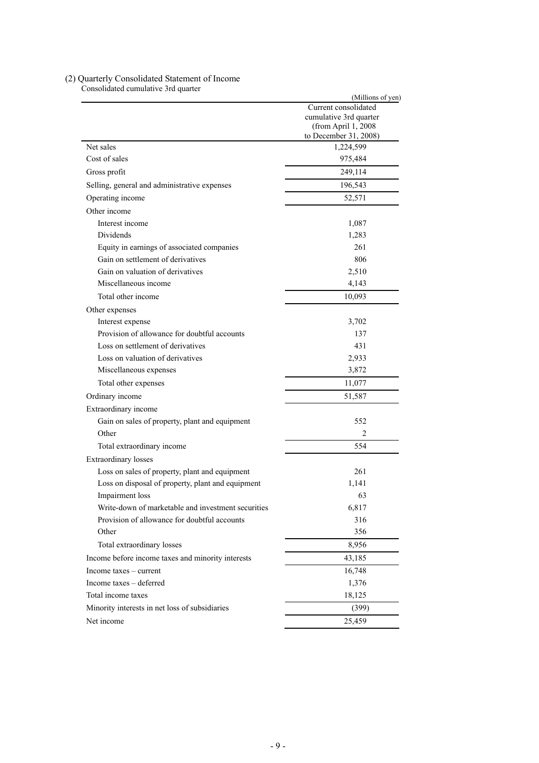|                                                    | (Millions of yen)                              |
|----------------------------------------------------|------------------------------------------------|
|                                                    | Current consolidated<br>cumulative 3rd quarter |
|                                                    | (from April 1, 2008)                           |
| Net sales                                          | to December 31, 2008)<br>1,224,599             |
| Cost of sales                                      |                                                |
|                                                    | 975,484                                        |
| Gross profit                                       | 249,114                                        |
| Selling, general and administrative expenses       | 196,543                                        |
| Operating income                                   | 52,571                                         |
| Other income                                       |                                                |
| Interest income                                    | 1,087                                          |
| Dividends                                          | 1,283                                          |
| Equity in earnings of associated companies         | 261                                            |
| Gain on settlement of derivatives                  | 806                                            |
| Gain on valuation of derivatives                   | 2,510                                          |
| Miscellaneous income                               | 4,143                                          |
| Total other income                                 | 10,093                                         |
| Other expenses                                     |                                                |
| Interest expense                                   | 3,702                                          |
| Provision of allowance for doubtful accounts       | 137                                            |
| Loss on settlement of derivatives                  | 431                                            |
| Loss on valuation of derivatives                   | 2,933                                          |
| Miscellaneous expenses                             | 3,872                                          |
| Total other expenses                               | 11,077                                         |
| Ordinary income                                    | 51,587                                         |
| Extraordinary income                               |                                                |
| Gain on sales of property, plant and equipment     | 552                                            |
| Other                                              | 2                                              |
| Total extraordinary income                         | 554                                            |
| Extraordinary losses                               |                                                |
| Loss on sales of property, plant and equipment     | 261                                            |
| Loss on disposal of property, plant and equipment  | 1,141                                          |
| Impairment loss                                    | 63                                             |
| Write-down of marketable and investment securities | 6,817                                          |
| Provision of allowance for doubtful accounts       | 316                                            |
| Other                                              | 356                                            |
| Total extraordinary losses                         | 8,956                                          |
| Income before income taxes and minority interests  | 43,185                                         |
| Income taxes $-$ current                           | 16,748                                         |
| Income taxes - deferred                            | 1,376                                          |
| Total income taxes                                 | 18,125                                         |
| Minority interests in net loss of subsidiaries     | (399)                                          |
|                                                    |                                                |
| Net income                                         | 25,459                                         |

# (2) Quarterly Consolidated Statement of Income

Consolidated cumulative 3rd quarter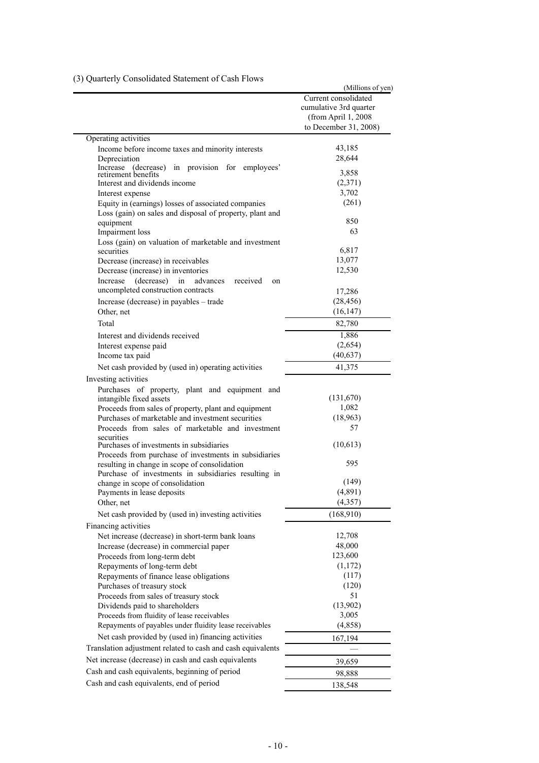|                                                                           | (Millions of yen)      |
|---------------------------------------------------------------------------|------------------------|
|                                                                           | Current consolidated   |
|                                                                           | cumulative 3rd quarter |
|                                                                           | (from April 1, 2008    |
|                                                                           | to December 31, 2008)  |
| Operating activities                                                      |                        |
| Income before income taxes and minority interests                         | 43,185                 |
| Depreciation                                                              | 28,644                 |
| Increase (decrease) in provision for<br>retirement benefits<br>employees' | 3,858                  |
| Interest and dividends income                                             | (2,371)                |
| Interest expense                                                          | 3,702                  |
| Equity in (earnings) losses of associated companies                       | (261)                  |
| Loss (gain) on sales and disposal of property, plant and                  |                        |
| equipment                                                                 | 850                    |
| Impairment loss                                                           | 63                     |
| Loss (gain) on valuation of marketable and investment                     |                        |
| securities                                                                | 6,817                  |
| Decrease (increase) in receivables                                        | 13,077                 |
| Decrease (increase) in inventories                                        | 12,530                 |
| (decrease)<br>received<br>Increase<br>in<br>advances<br>on                |                        |
| uncompleted construction contracts                                        | 17,286                 |
| Increase (decrease) in payables – trade                                   | (28, 456)              |
| Other, net                                                                | (16, 147)              |
| Total                                                                     | 82,780                 |
| Interest and dividends received                                           | 1,886                  |
| Interest expense paid                                                     | (2,654)                |
| Income tax paid                                                           | (40, 637)              |
| Net cash provided by (used in) operating activities                       | 41,375                 |
| Investing activities                                                      |                        |
| Purchases of property, plant and equipment and                            |                        |
| intangible fixed assets                                                   | (131,670)              |
| Proceeds from sales of property, plant and equipment                      | 1,082                  |
| Purchases of marketable and investment securities                         | (18,963)               |
| Proceeds from sales of marketable and investment                          | 57                     |
| securities<br>Purchases of investments in subsidiaries                    | (10,613)               |
| Proceeds from purchase of investments in subsidiaries                     |                        |
| resulting in change in scope of consolidation                             | 595                    |
| Purchase of investments in subsidiaries resulting in                      |                        |
| change in scope of consolidation                                          | (149)                  |
| Payments in lease deposits                                                | (4, 891)               |
| Other, net                                                                | (4, 357)               |
| Net cash provided by (used in) investing activities                       | (168,910)              |
| Financing activities                                                      |                        |
| Net increase (decrease) in short-term bank loans                          | 12,708                 |
| Increase (decrease) in commercial paper                                   | 48,000                 |
| Proceeds from long-term debt                                              | 123,600                |
| Repayments of long-term debt                                              | (1,172)                |
| Repayments of finance lease obligations                                   | (117)                  |
| Purchases of treasury stock                                               | (120)                  |
| Proceeds from sales of treasury stock                                     | 51                     |
| Dividends paid to shareholders                                            | (13,902)               |
| Proceeds from fluidity of lease receivables                               | 3,005                  |
| Repayments of payables under fluidity lease receivables                   | (4,858)                |
| Net cash provided by (used in) financing activities                       | 167,194                |
| Translation adjustment related to cash and cash equivalents               |                        |
| Net increase (decrease) in cash and cash equivalents                      | 39,659                 |
| Cash and cash equivalents, beginning of period                            | 98,888                 |
| Cash and cash equivalents, end of period                                  | 138,548                |
|                                                                           |                        |

(3) Quarterly Consolidated Statement of Cash Flows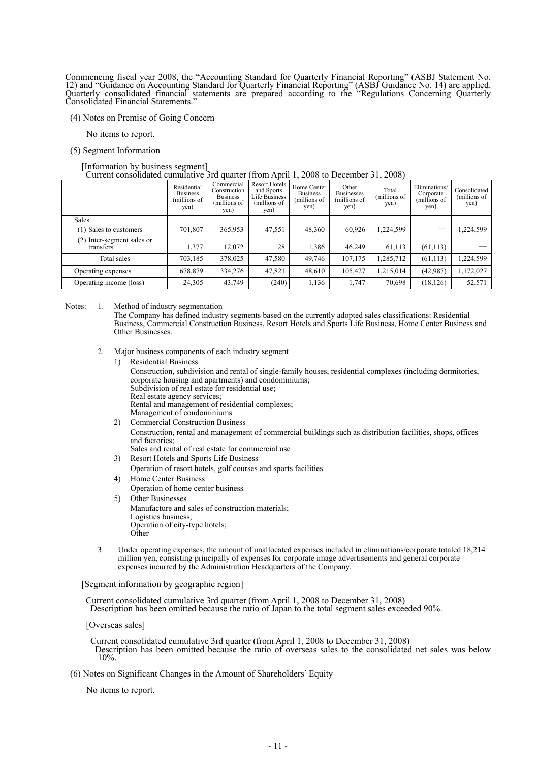Commencing fiscal year 2008, the "Accounting Standard for Quarterly Financial Reporting" (ASBJ Statement No. 12) and "Guidance on Accounting Standard for Quarterly Financial Reporting" (ASBJ Guidance No. 14) are applied. Quarterly consolidated financial statements are prepared according to the "Regulations Concerning Quarterly Consolidated Financial Statements."

(4) Notes on Premise of Going Concern

No items to report.

(5) Segment Information

#### [Information by business segment] Current consolidated cumulative 3rd quarter (from April 1, 2008 to December 31, 2008)

|                                         | Residential<br><b>Business</b><br>(millions of<br>yen) | Commercial<br>Construction<br><b>Business</b><br>(millions of<br>yen) | <b>Resort Hotels</b><br>and Sports<br>Life Business<br>(millions of<br>yen) | Home Center<br><b>Business</b><br>(millions of<br>yen) | Other<br><b>Businesses</b><br>(millions of<br>yen) | Total<br>(millions of<br>yen) | Eliminations/<br>Corporate<br>(millions of<br>yen) | Consolidated<br>(millions of<br>yen) |
|-----------------------------------------|--------------------------------------------------------|-----------------------------------------------------------------------|-----------------------------------------------------------------------------|--------------------------------------------------------|----------------------------------------------------|-------------------------------|----------------------------------------------------|--------------------------------------|
| <b>Sales</b>                            |                                                        |                                                                       |                                                                             |                                                        |                                                    |                               |                                                    |                                      |
| (1) Sales to customers                  | 701,807                                                | 365,953                                                               | 47,551                                                                      | 48,360                                                 | 60,926                                             | 1,224,599                     |                                                    | .224,599                             |
| (2) Inter-segment sales or<br>transfers | 1,377                                                  | 12,072                                                                | 28                                                                          | 1,386                                                  | 46,249                                             | 61,113                        | (61, 113)                                          |                                      |
|                                         |                                                        |                                                                       |                                                                             |                                                        |                                                    |                               |                                                    |                                      |
| Total sales                             | 703,185                                                | 378,025                                                               | 47,580                                                                      | 49,746                                                 | 107,175                                            | 1,285,712                     | (61, 113)                                          | 1,224,599                            |
| Operating expenses                      | 678,879                                                | 334,276                                                               | 47,821                                                                      | 48,610                                                 | 105,427                                            | 1,215,014                     | (42, 987)                                          | 1,172,027                            |
| Operating income (loss)                 | 24,305                                                 | 43,749                                                                | (240)                                                                       | 1,136                                                  | 1,747                                              | 70,698                        | (18, 126)                                          | 52,571                               |

Notes: 1. Method of industry segmentation

The Company has defined industry segments based on the currently adopted sales classifications: Residential Business, Commercial Construction Business, Resort Hotels and Sports Life Business, Home Center Business and Other Businesses.

- 2. Major business components of each industry segment
	- 1) Residential Business

Construction, subdivision and rental of single-family houses, residential complexes (including dormitories, corporate housing and apartments) and condominiums; Subdivision of real estate for residential use; Real estate agency services;

Rental and management of residential complexes;

- Management of condominiums
- 2) Commercial Construction Business Construction, rental and management of commercial buildings such as distribution facilities, shops, offices and factories; Sales and rental of real estate for commercial use
- 3) Resort Hotels and Sports Life Business
- Operation of resort hotels, golf courses and sports facilities
- 4) Home Center Business Operation of home center business
- 5) Other Businesses Manufacture and sales of construction materials; Logistics business; Operation of city-type hotels; Other
- 3. Under operating expenses, the amount of unallocated expenses included in eliminations/corporate totaled 18,214 million yen, consisting principally of expenses for corporate image advertisements and general corporate expenses incurred by the Administration Headquarters of the Company.

[Segment information by geographic region]

Current consolidated cumulative 3rd quarter (from April 1, 2008 to December 31, 2008) Description has been omitted because the ratio of Japan to the total segment sales exceeded 90%.

[Overseas sales]

Current consolidated cumulative 3rd quarter (from April 1, 2008 to December 31, 2008) Description has been omitted because the ratio of overseas sales to the consolidated net sales was below 10%.

(6) Notes on Significant Changes in the Amount of Shareholders' Equity

No items to report.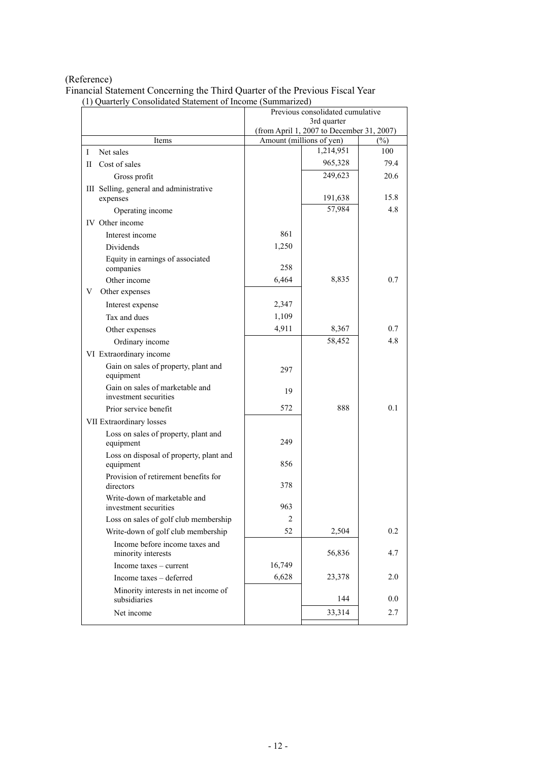# (Reference)

Financial Statement Concerning the Third Quarter of the Previous Fiscal Year (1) Quarterly Consolidated Statement of Income (Summarized)

|                                                          | Previous consolidated cumulative |                                           |        |  |
|----------------------------------------------------------|----------------------------------|-------------------------------------------|--------|--|
|                                                          | 3rd quarter                      |                                           |        |  |
|                                                          |                                  | (from April 1, 2007 to December 31, 2007) |        |  |
| Items                                                    |                                  | Amount (millions of yen)                  | $(\%)$ |  |
| $\bf I$<br>Net sales                                     |                                  | 1,214,951                                 | 100    |  |
| Cost of sales<br>П                                       |                                  | 965,328                                   | 79.4   |  |
| Gross profit                                             |                                  | 249,623                                   | 20.6   |  |
| III Selling, general and administrative<br>expenses      |                                  | 191,638                                   | 15.8   |  |
| Operating income                                         |                                  | 57,984                                    | 4.8    |  |
| IV Other income                                          |                                  |                                           |        |  |
| Interest income                                          | 861                              |                                           |        |  |
| Dividends                                                | 1,250                            |                                           |        |  |
| Equity in earnings of associated                         |                                  |                                           |        |  |
| companies                                                | 258                              |                                           |        |  |
| Other income                                             | 6,464                            | 8,835                                     | 0.7    |  |
| Other expenses<br>V                                      |                                  |                                           |        |  |
| Interest expense                                         | 2,347                            |                                           |        |  |
| Tax and dues                                             | 1,109                            |                                           |        |  |
|                                                          | 4,911                            | 8,367                                     | 0.7    |  |
| Other expenses                                           |                                  |                                           | 4.8    |  |
| Ordinary income                                          |                                  | 58,452                                    |        |  |
| VI Extraordinary income                                  |                                  |                                           |        |  |
| Gain on sales of property, plant and<br>equipment        | 297                              |                                           |        |  |
| Gain on sales of marketable and<br>investment securities | 19                               |                                           |        |  |
| Prior service benefit                                    | 572                              | 888                                       | 0.1    |  |
| VII Extraordinary losses                                 |                                  |                                           |        |  |
| Loss on sales of property, plant and<br>equipment        | 249                              |                                           |        |  |
| Loss on disposal of property, plant and<br>equipment     | 856                              |                                           |        |  |
| Provision of retirement benefits for<br>directors        | 378                              |                                           |        |  |
| Write-down of marketable and                             |                                  |                                           |        |  |
| investment securities                                    | 963                              |                                           |        |  |
| Loss on sales of golf club membership                    | $\overline{c}$                   |                                           |        |  |
| Write-down of golf club membership                       | 52                               | 2,504                                     | 0.2    |  |
| Income before income taxes and<br>minority interests     |                                  | 56,836                                    | 4.7    |  |
| Income taxes – current                                   | 16,749                           |                                           |        |  |
| Income taxes - deferred                                  | 6,628                            | 23,378                                    | 2.0    |  |
| Minority interests in net income of                      |                                  |                                           |        |  |
| subsidiaries                                             |                                  | 144                                       | 0.0    |  |
| Net income                                               |                                  | 33,314                                    | 2.7    |  |
|                                                          |                                  |                                           |        |  |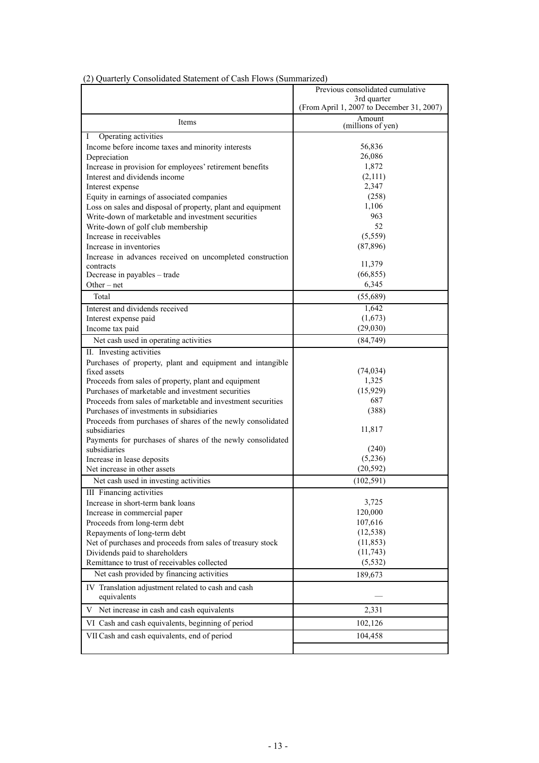|                                                                           | Previous consolidated cumulative          |
|---------------------------------------------------------------------------|-------------------------------------------|
|                                                                           | 3rd quarter                               |
|                                                                           | (From April 1, 2007 to December 31, 2007) |
| Items                                                                     | Amount<br>(millions of yen)               |
| Operating activities<br>Ι                                                 |                                           |
| Income before income taxes and minority interests                         | 56,836                                    |
| Depreciation                                                              | 26,086                                    |
| Increase in provision for employees' retirement benefits                  | 1,872                                     |
| Interest and dividends income                                             | (2,111)                                   |
| Interest expense                                                          | 2,347                                     |
| Equity in earnings of associated companies                                | (258)                                     |
| Loss on sales and disposal of property, plant and equipment               | 1,106                                     |
| Write-down of marketable and investment securities                        | 963                                       |
| Write-down of golf club membership                                        | 52                                        |
| Increase in receivables                                                   | (5,559)                                   |
| Increase in inventories                                                   | (87, 896)                                 |
| Increase in advances received on uncompleted construction<br>contracts    | 11,379                                    |
| Decrease in payables - trade                                              | (66, 855)                                 |
| Other $-$ net                                                             | 6,345                                     |
| Total                                                                     | (55,689)                                  |
| Interest and dividends received                                           | 1,642                                     |
| Interest expense paid                                                     | (1,673)                                   |
| Income tax paid                                                           | (29,030)                                  |
| Net cash used in operating activities                                     | (84,749)                                  |
|                                                                           |                                           |
| II. Investing activities                                                  |                                           |
| Purchases of property, plant and equipment and intangible<br>fixed assets | (74, 034)                                 |
| Proceeds from sales of property, plant and equipment                      | 1,325                                     |
| Purchases of marketable and investment securities                         | (15, 929)                                 |
| Proceeds from sales of marketable and investment securities               | 687                                       |
| Purchases of investments in subsidiaries                                  | (388)                                     |
| Proceeds from purchases of shares of the newly consolidated               |                                           |
| subsidiaries                                                              | 11,817                                    |
| Payments for purchases of shares of the newly consolidated                |                                           |
| subsidiaries                                                              | (240)                                     |
| Increase in lease deposits                                                | (5,236)                                   |
| Net increase in other assets                                              | (20, 592)                                 |
| Net cash used in investing activities                                     | (102, 591)                                |
| <b>III</b> Financing activities                                           |                                           |
| Increase in short-term bank loans                                         | 3,725                                     |
| Increase in commercial paper                                              | 120,000                                   |
| Proceeds from long-term debt                                              | 107,616                                   |
| Repayments of long-term debt                                              | (12, 538)                                 |
| Net of purchases and proceeds from sales of treasury stock                | (11, 853)                                 |
| Dividends paid to shareholders                                            | (11,743)                                  |
| Remittance to trust of receivables collected                              | (5, 532)                                  |
| Net cash provided by financing activities                                 | 189,673                                   |
| IV Translation adjustment related to cash and cash<br>equivalents         |                                           |
| V Net increase in cash and cash equivalents                               | 2,331                                     |
| VI Cash and cash equivalents, beginning of period                         | 102,126                                   |
| VII Cash and cash equivalents, end of period                              | 104,458                                   |
|                                                                           |                                           |
|                                                                           |                                           |

# (2) Quarterly Consolidated Statement of Cash Flows (Summarized)